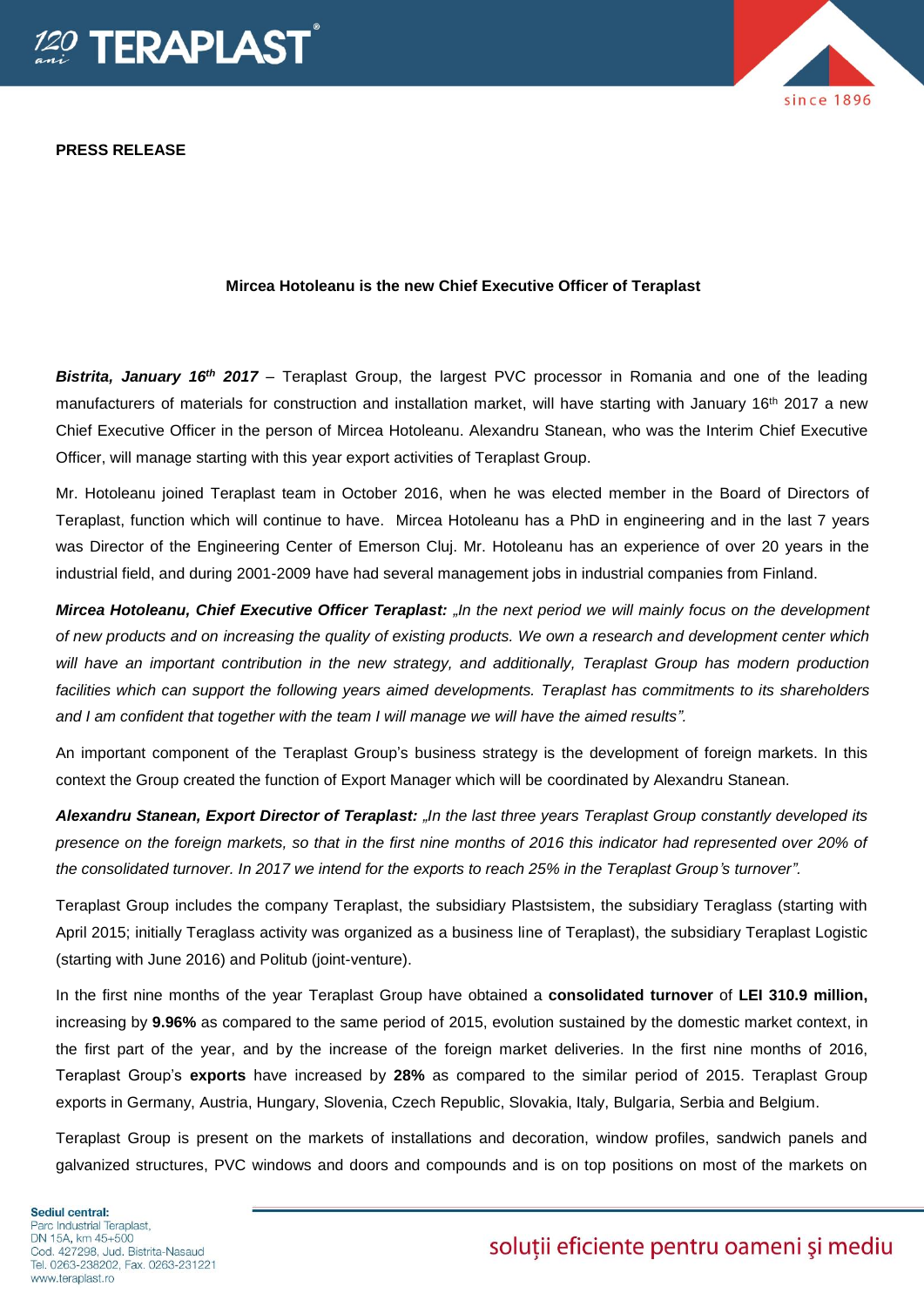

**PRESS RELEASE**



## **Mircea Hotoleanu is the new Chief Executive Officer of Teraplast**

**Bistrita, January 16<sup>th</sup> 2017** – Teraplast Group, the largest PVC processor in Romania and one of the leading manufacturers of materials for construction and installation market, will have starting with January 16<sup>th</sup> 2017 a new Chief Executive Officer in the person of Mircea Hotoleanu. Alexandru Stanean, who was the Interim Chief Executive Officer, will manage starting with this year export activities of Teraplast Group.

Mr. Hotoleanu joined Teraplast team in October 2016, when he was elected member in the Board of Directors of Teraplast, function which will continue to have. Mircea Hotoleanu has a PhD in engineering and in the last 7 years was Director of the Engineering Center of Emerson Cluj. Mr. Hotoleanu has an experience of over 20 years in the industrial field, and during 2001-2009 have had several management jobs in industrial companies from Finland.

*Mircea Hotoleanu, Chief Executive Officer Teraplast: "In the next period we will mainly focus on the development of new products and on increasing the quality of existing products. We own a research and development center which will have an important contribution in the new strategy, and additionally, Teraplast Group has modern production*  facilities which can support the following years aimed developments. Teraplast has commitments to its shareholders *and I am confident that together with the team I will manage we will have the aimed results".*

An important component of the Teraplast Group's business strategy is the development of foreign markets. In this context the Group created the function of Export Manager which will be coordinated by Alexandru Stanean.

*Alexandru Stanean, Export Director of Teraplast: "In the last three years Teraplast Group constantly developed its presence on the foreign markets, so that in the first nine months of 2016 this indicator had represented over 20% of the consolidated turnover. In 2017 we intend for the exports to reach 25% in the Teraplast Group's turnover".* 

Teraplast Group includes the company Teraplast, the subsidiary Plastsistem, the subsidiary Teraglass (starting with April 2015; initially Teraglass activity was organized as a business line of Teraplast), the subsidiary Teraplast Logistic (starting with June 2016) and Politub (joint-venture).

In the first nine months of the year Teraplast Group have obtained a **consolidated turnover** of **LEI 310.9 million,**  increasing by **9.96%** as compared to the same period of 2015, evolution sustained by the domestic market context, in the first part of the year, and by the increase of the foreign market deliveries. In the first nine months of 2016, Teraplast Group's **exports** have increased by **28%** as compared to the similar period of 2015. Teraplast Group exports in Germany, Austria, Hungary, Slovenia, Czech Republic, Slovakia, Italy, Bulgaria, Serbia and Belgium.

Teraplast Group is present on the markets of installations and decoration, window profiles, sandwich panels and galvanized structures, PVC windows and doors and compounds and is on top positions on most of the markets on

Sediul central: Parc Industrial Teraplast. DN 15A, km 45+500 Cod. 427298. Jud. Bistrita-Nasaud Tel. 0263-238202, Fax. 0263-231221 www.teraplast.ro

## soluții eficiente pentru oameni și mediu